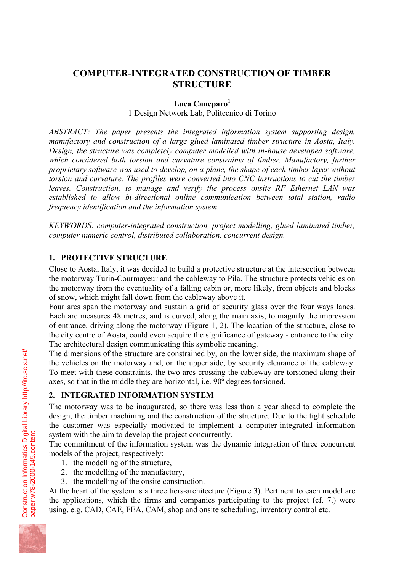# **COMPUTER-INTEGRATED CONSTRUCTION OF TIMBER STRUCTURE**

#### **Luca Caneparo<sup>1</sup>**

1 Design Network Lab, Politecnico di Torino

*ABSTRACT: The paper presents the integrated information system supporting design, manufactory and construction of a large glued laminated timber structure in Aosta, Italy. Design, the structure was completely computer modelled with in-house developed software, which considered both torsion and curvature constraints of timber. Manufactory, further proprietary software was used to develop, on a plane, the shape of each timber layer without torsion and curvature. The profiles were converted into CNC instructions to cut the timber leaves. Construction, to manage and verify the process onsite RF Ethernet LAN was established to allow bi-directional online communication between total station, radio frequency identification and the information system.* 

*KEYWORDS: computer-integrated construction, project modelling, glued laminated timber, computer numeric control, distributed collaboration, concurrent design.* 

### **1. PROTECTIVE STRUCTURE**

Close to Aosta, Italy, it was decided to build a protective structure at the intersection between the motorway Turin-Courmayeur and the cableway to Pila. The structure protects vehicles on the motorway from the eventuality of a falling cabin or, more likely, from objects and blocks of snow, which might fall down from the cableway above it.

Four arcs span the motorway and sustain a grid of security glass over the four ways lanes. Each arc measures 48 metres, and is curved, along the main axis, to magnify the impression of entrance, driving along the motorway (Figure 1, 2). The location of the structure, close to the city centre of Aosta, could even acquire the significance of gateway - entrance to the city. The architectural design communicating this symbolic meaning.

The dimensions of the structure are constrained by, on the lower side, the maximum shape of the vehicles on the motorway and, on the upper side, by security clearance of the cableway. To meet with these constraints, the two arcs crossing the cableway are torsioned along their axes, so that in the middle they are horizontal, i.e. 90º degrees torsioned.

# **2. INTEGRATED INFORMATION SYSTEM**

The motorway was to be inaugurated, so there was less than a year ahead to complete the design, the timber machining and the construction of the structure. Due to the tight schedule the customer was especially motivated to implement a computer-integrated information system with the aim to develop the project concurrently.

The commitment of the information system was the dynamic integration of three concurrent models of the project, respectively:

- 1. the modelling of the structure,
- 2. the modelling of the manufactory,
- 3. the modelling of the onsite construction.

At the heart of the system is a three tiers-architecture (Figure 3). Pertinent to each model are the applications, which the firms and companies participating to the project (cf. 7.) were using, e.g. CAD, CAE, FEA, CAM, shop and onsite scheduling, inventory control etc.

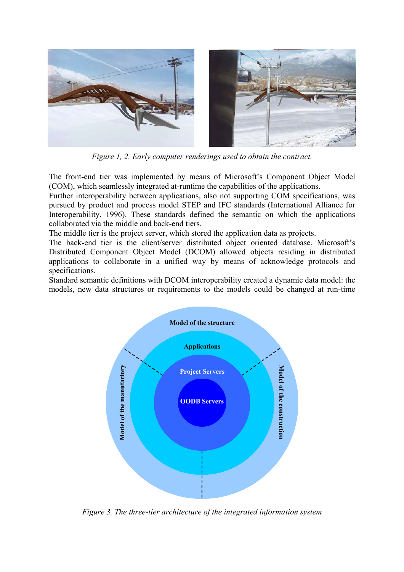

*Figure 1, 2. Early computer renderings used to obtain the contract.* 

The front-end tier was implemented by means of Microsoft's Component Object Model (COM), which seamlessly integrated at-runtime the capabilities of the applications.

Further interoperability between applications, also not supporting COM specifications, was pursued by product and process model STEP and IFC standards (International Alliance for Interoperability, 1996). These standards defined the semantic on which the applications collaborated via the middle and back-end tiers.

The middle tier is the project server, which stored the application data as projects.

The back-end tier is the client/server distributed object oriented database. Microsoft's Distributed Component Object Model (DCOM) allowed objects residing in distributed applications to collaborate in a unified way by means of acknowledge protocols and specifications.

Standard semantic definitions with DCOM interoperability created a dynamic data model: the models, new data structures or requirements to the models could be changed at run-time



*Figure 3. The three-tier architecture of the integrated information system*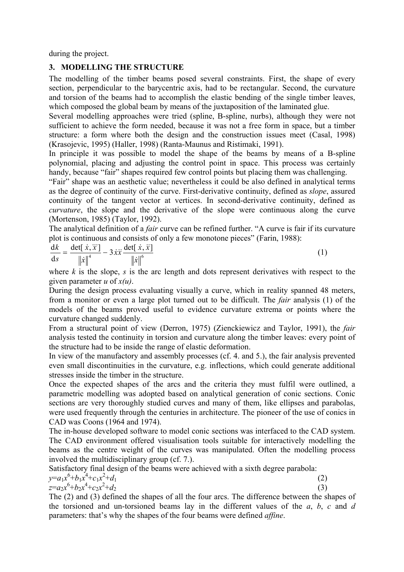during the project.

### **3. MODELLING THE STRUCTURE**

The modelling of the timber beams posed several constraints. First, the shape of every section, perpendicular to the barycentric axis, had to be rectangular. Second, the curvature and torsion of the beams had to accomplish the elastic bending of the single timber leaves, which composed the global beam by means of the juxtaposition of the laminated glue.

Several modelling approaches were tried (spline, B-spline, nurbs), although they were not sufficient to achieve the form needed, because it was not a free form in space, but a timber structure: a form where both the design and the construction issues meet (Casal, 1998) (Krasojevic, 1995) (Haller, 1998) (Ranta-Maunus and Ristimaki, 1991).

In principle it was possible to model the shape of the beams by means of a B-spline polynomial, placing and adjusting the control point in space. This process was certainly handy, because "fair" shapes required few control points but placing them was challenging.

"Fair" shape was an aesthetic value; nevertheless it could be also defined in analytical terms as the degree of continuity of the curve. First-derivative continuity, defined as *slope*, assured continuity of the tangent vector at vertices. In second-derivative continuity, defined as *curvature*, the slope and the derivative of the slope were continuous along the curve (Mortenson, 1985) (Taylor, 1992).

The analytical definition of a *fair* curve can be refined further. "A curve is fair if its curvature plot is continuous and consists of only a few monotone pieces" (Farin, 1988):

$$
\frac{\mathrm{d}k}{\mathrm{d}s} = \frac{\det[\dot{x}, \ddot{x}]}{\|\dot{x}\|^4} - 3\dot{x}\ddot{x}\frac{\det[\dot{x}, \ddot{x}]}{\|\dot{x}\|^6}
$$
(1)

where *k* is the slope, *s* is the arc length and dots represent derivatives with respect to the given parameter *u* of *x(u)*.

During the design process evaluating visually a curve, which in reality spanned 48 meters, from a monitor or even a large plot turned out to be difficult. The *fair* analysis (1) of the models of the beams proved useful to evidence curvature extrema or points where the curvature changed suddenly.

From a structural point of view (Derron, 1975) (Zienckiewicz and Taylor, 1991), the *fair* analysis tested the continuity in torsion and curvature along the timber leaves: every point of the structure had to be inside the range of elastic deformation.

In view of the manufactory and assembly processes (cf. 4. and 5.), the fair analysis prevented even small discontinuities in the curvature, e.g. inflections, which could generate additional stresses inside the timber in the structure.

Once the expected shapes of the arcs and the criteria they must fulfil were outlined, a parametric modelling was adopted based on analytical generation of conic sections. Conic sections are very thoroughly studied curves and many of them, like ellipses and parabolas, were used frequently through the centuries in architecture. The pioneer of the use of conics in CAD was Coons (1964 and 1974).

The in-house developed software to model conic sections was interfaced to the CAD system. The CAD environment offered visualisation tools suitable for interactively modelling the beams as the centre weight of the curves was manipulated. Often the modelling process involved the multidisciplinary group (cf. 7.).

Satisfactory final design of the beams were achieved with a sixth degree parabola:  $2^{1}$  $+d_1$  (2)

$$
y=a_1x^6+b_1x^4+c_1x^2+d_1z=a_2x^6+b_2x^4+c_2x^2+d_2
$$

 $+d_2$  (3)

The (2) and (3) defined the shapes of all the four arcs. The difference between the shapes of the torsioned and un-torsioned beams lay in the different values of the *a*, *b*, *c* and *d* parameters: that's why the shapes of the four beams were defined *affine*.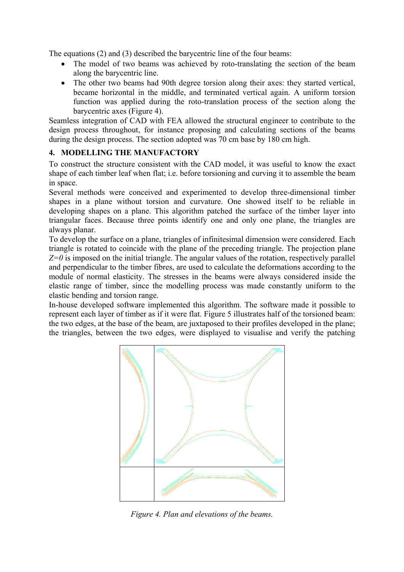The equations (2) and (3) described the barycentric line of the four beams:

- The model of two beams was achieved by roto-translating the section of the beam along the barycentric line.
- The other two beams had 90th degree torsion along their axes: they started vertical, became horizontal in the middle, and terminated vertical again. A uniform torsion function was applied during the roto-translation process of the section along the barycentric axes (Figure 4).

Seamless integration of CAD with FEA allowed the structural engineer to contribute to the design process throughout, for instance proposing and calculating sections of the beams during the design process. The section adopted was 70 cm base by 180 cm high.

## **4. MODELLING THE MANUFACTORY**

To construct the structure consistent with the CAD model, it was useful to know the exact shape of each timber leaf when flat; i.e. before torsioning and curving it to assemble the beam in space.

Several methods were conceived and experimented to develop three-dimensional timber shapes in a plane without torsion and curvature. One showed itself to be reliable in developing shapes on a plane. This algorithm patched the surface of the timber layer into triangular faces. Because three points identify one and only one plane, the triangles are always planar.

To develop the surface on a plane, triangles of infinitesimal dimension were considered. Each triangle is rotated to coincide with the plane of the preceding triangle. The projection plane  $Z=0$  is imposed on the initial triangle. The angular values of the rotation, respectively parallel and perpendicular to the timber fibres, are used to calculate the deformations according to the module of normal elasticity. The stresses in the beams were always considered inside the elastic range of timber, since the modelling process was made constantly uniform to the elastic bending and torsion range.

In-house developed software implemented this algorithm. The software made it possible to represent each layer of timber as if it were flat. Figure 5 illustrates half of the torsioned beam: the two edges, at the base of the beam, are juxtaposed to their profiles developed in the plane; the triangles, between the two edges, were displayed to visualise and verify the patching



*Figure 4. Plan and elevations of the beams.*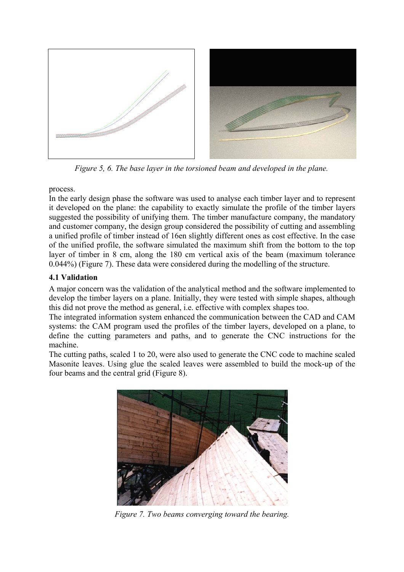

*Figure 5, 6. The base layer in the torsioned beam and developed in the plane.* 

process.

In the early design phase the software was used to analyse each timber layer and to represent it developed on the plane: the capability to exactly simulate the profile of the timber layers suggested the possibility of unifying them. The timber manufacture company, the mandatory and customer company, the design group considered the possibility of cutting and assembling a unified profile of timber instead of 16en slightly different ones as cost effective. In the case of the unified profile, the software simulated the maximum shift from the bottom to the top layer of timber in 8 cm, along the 180 cm vertical axis of the beam (maximum tolerance 0.044%) (Figure 7). These data were considered during the modelling of the structure.

# **4.1 Validation**

A major concern was the validation of the analytical method and the software implemented to develop the timber layers on a plane. Initially, they were tested with simple shapes, although this did not prove the method as general, i.e. effective with complex shapes too.

The integrated information system enhanced the communication between the CAD and CAM systems: the CAM program used the profiles of the timber layers, developed on a plane, to define the cutting parameters and paths, and to generate the CNC instructions for the machine.

The cutting paths, scaled 1 to 20, were also used to generate the CNC code to machine scaled Masonite leaves. Using glue the scaled leaves were assembled to build the mock-up of the four beams and the central grid (Figure 8).



*Figure 7. Two beams converging toward the bearing.*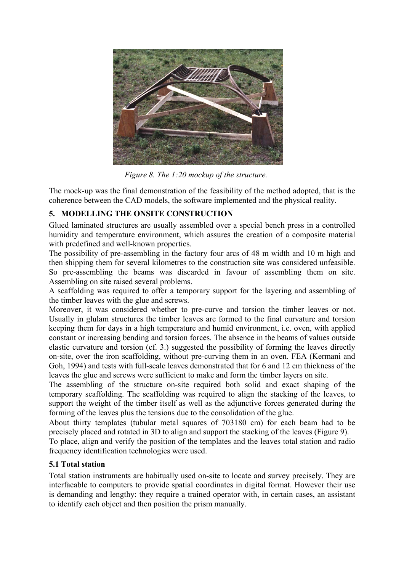

 *Figure 8. The 1:20 mockup of the structure.* 

The mock-up was the final demonstration of the feasibility of the method adopted, that is the coherence between the CAD models, the software implemented and the physical reality.

# **5. MODELLING THE ONSITE CONSTRUCTION**

Glued laminated structures are usually assembled over a special bench press in a controlled humidity and temperature environment, which assures the creation of a composite material with predefined and well-known properties.

The possibility of pre-assembling in the factory four arcs of 48 m width and 10 m high and then shipping them for several kilometres to the construction site was considered unfeasible. So pre-assembling the beams was discarded in favour of assembling them on site. Assembling on site raised several problems.

A scaffolding was required to offer a temporary support for the layering and assembling of the timber leaves with the glue and screws.

Moreover, it was considered whether to pre-curve and torsion the timber leaves or not. Usually in glulam structures the timber leaves are formed to the final curvature and torsion keeping them for days in a high temperature and humid environment, i.e. oven, with applied constant or increasing bending and torsion forces. The absence in the beams of values outside elastic curvature and torsion (cf. 3.) suggested the possibility of forming the leaves directly on-site, over the iron scaffolding, without pre-curving them in an oven. FEA (Kermani and Goh, 1994) and tests with full-scale leaves demonstrated that for 6 and 12 cm thickness of the leaves the glue and screws were sufficient to make and form the timber layers on site.

The assembling of the structure on-site required both solid and exact shaping of the temporary scaffolding. The scaffolding was required to align the stacking of the leaves, to support the weight of the timber itself as well as the adjunctive forces generated during the forming of the leaves plus the tensions due to the consolidation of the glue.

About thirty templates (tubular metal squares of 703180 cm) for each beam had to be precisely placed and rotated in 3D to align and support the stacking of the leaves (Figure 9).

To place, align and verify the position of the templates and the leaves total station and radio frequency identification technologies were used.

# **5.1 Total station**

Total station instruments are habitually used on-site to locate and survey precisely. They are interfacable to computers to provide spatial coordinates in digital format. However their use is demanding and lengthy: they require a trained operator with, in certain cases, an assistant to identify each object and then position the prism manually.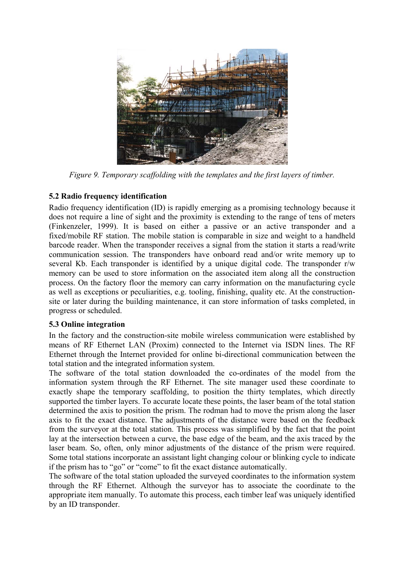

*Figure 9. Temporary scaffolding with the templates and the first layers of timber.*

## **5.2 Radio frequency identification**

Radio frequency identification (ID) is rapidly emerging as a promising technology because it does not require a line of sight and the proximity is extending to the range of tens of meters (Finkenzeler, 1999). It is based on either a passive or an active transponder and a fixed/mobile RF station. The mobile station is comparable in size and weight to a handheld barcode reader. When the transponder receives a signal from the station it starts a read/write communication session. The transponders have onboard read and/or write memory up to several Kb. Each transponder is identified by a unique digital code. The transponder r/w memory can be used to store information on the associated item along all the construction process. On the factory floor the memory can carry information on the manufacturing cycle as well as exceptions or peculiarities, e.g. tooling, finishing, quality etc. At the constructionsite or later during the building maintenance, it can store information of tasks completed, in progress or scheduled.

### **5.3 Online integration**

In the factory and the construction-site mobile wireless communication were established by means of RF Ethernet LAN (Proxim) connected to the Internet via ISDN lines. The RF Ethernet through the Internet provided for online bi-directional communication between the total station and the integrated information system.

The software of the total station downloaded the co-ordinates of the model from the information system through the RF Ethernet. The site manager used these coordinate to exactly shape the temporary scaffolding, to position the thirty templates, which directly supported the timber layers. To accurate locate these points, the laser beam of the total station determined the axis to position the prism. The rodman had to move the prism along the laser axis to fit the exact distance. The adjustments of the distance were based on the feedback from the surveyor at the total station. This process was simplified by the fact that the point lay at the intersection between a curve, the base edge of the beam, and the axis traced by the laser beam. So, often, only minor adjustments of the distance of the prism were required. Some total stations incorporate an assistant light changing colour or blinking cycle to indicate if the prism has to "go" or "come" to fit the exact distance automatically.

The software of the total station uploaded the surveyed coordinates to the information system through the RF Ethernet. Although the surveyor has to associate the coordinate to the appropriate item manually. To automate this process, each timber leaf was uniquely identified by an ID transponder.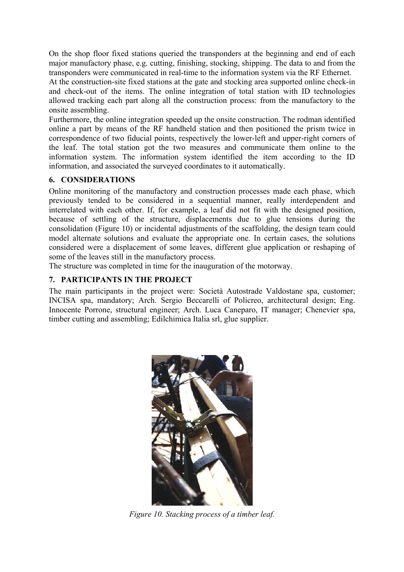On the shop floor fixed stations queried the transponders at the beginning and end of each major manufactory phase, e.g. cutting, finishing, stocking, shipping. The data to and from the transponders were communicated in real-time to the information system via the RF Ethernet.

At the construction-site fixed stations at the gate and stocking area supported online check-in and check-out of the items. The online integration of total station with ID technologies allowed tracking each part along all the construction process: from the manufactory to the onsite assembling.

Furthermore, the online integration speeded up the onsite construction. The rodman identified online a part by means of the RF handheld station and then positioned the prism twice in correspondence of two fiducial points, respectively the lower-left and upper-right corners of the leaf. The total station got the two measures and communicate them online to the information system. The information system identified the item according to the ID information, and associated the surveyed coordinates to it automatically.

### **6. CONSIDERATIONS**

Online monitoring of the manufactory and construction processes made each phase, which previously tended to be considered in a sequential manner, really interdependent and interrelated with each other. If, for example, a leaf did not fit with the designed position, because of settling of the structure, displacements due to glue tensions during the consolidation (Figure 10) or incidental adjustments of the scaffolding, the design team could model alternate solutions and evaluate the appropriate one. In certain cases, the solutions considered were a displacement of some leaves, different glue application or reshaping of some of the leaves still in the manufactory process.

The structure was completed in time for the inauguration of the motorway.

## **7. PARTICIPANTS IN THE PROJECT**

The main participants in the project were: Società Autostrade Valdostane spa, customer; INCISA spa, mandatory; Arch. Sergio Beccarelli of Policreo, architectural design; Eng. Innocente Porrone, structural engineer; Arch. Luca Caneparo, IT manager; Chenevier spa, timber cutting and assembling; Edilchimica Italia srl, glue supplier.



*Figure 10. Stacking process of a timber leaf.*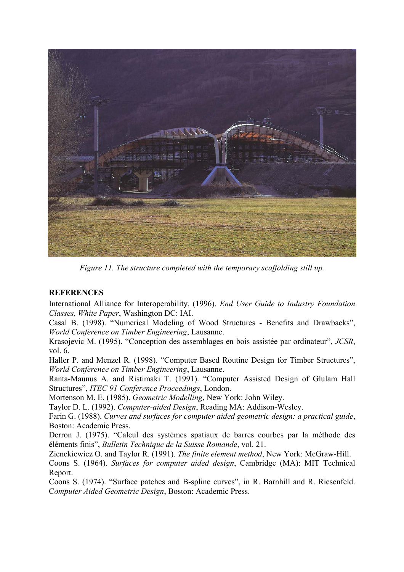

*Figure 11. The structure completed with the temporary scaffolding still up.* 

### **REFERENCES**

International Alliance for Interoperability. (1996). *End User Guide to Industry Foundation Classes, White Paper*, Washington DC: IAI.

Casal B. (1998). "Numerical Modeling of Wood Structures - Benefits and Drawbacks", *World Conference on Timber Engineering*, Lausanne.

Krasojevic M. (1995). "Conception des assemblages en bois assistée par ordinateur", *JCSR*, vol. 6.

Haller P. and Menzel R. (1998). "Computer Based Routine Design for Timber Structures", *World Conference on Timber Engineering*, Lausanne.

Ranta-Maunus A. and Ristimaki T. (1991). "Computer Assisted Design of Glulam Hall Structures", *ITEC 91 Conference Proceedings*, London.

Mortenson M. E. (1985). *Geometric Modelling*, New York: John Wiley.

Taylor D. L. (1992). *Computer-aided Design*, Reading MA: Addison-Wesley.

Farin G. (1988). *Curves and surfaces for computer aided geometric design: a practical guide*, Boston: Academic Press.

Derron J. (1975). "Calcul des systèmes spatiaux de barres courbes par la méthode des éléments finis", *Bulletin Technique de la Suisse Romande*, vol. 21.

Zienckiewicz O. and Taylor R. (1991). *The finite element method*, New York: McGraw-Hill.

Coons S. (1964). *Surfaces for computer aided design*, Cambridge (MA): MIT Technical Report.

Coons S. (1974). "Surface patches and B-spline curves", in R. Barnhill and R. Riesenfeld. C*omputer Aided Geometric Design*, Boston: Academic Press.